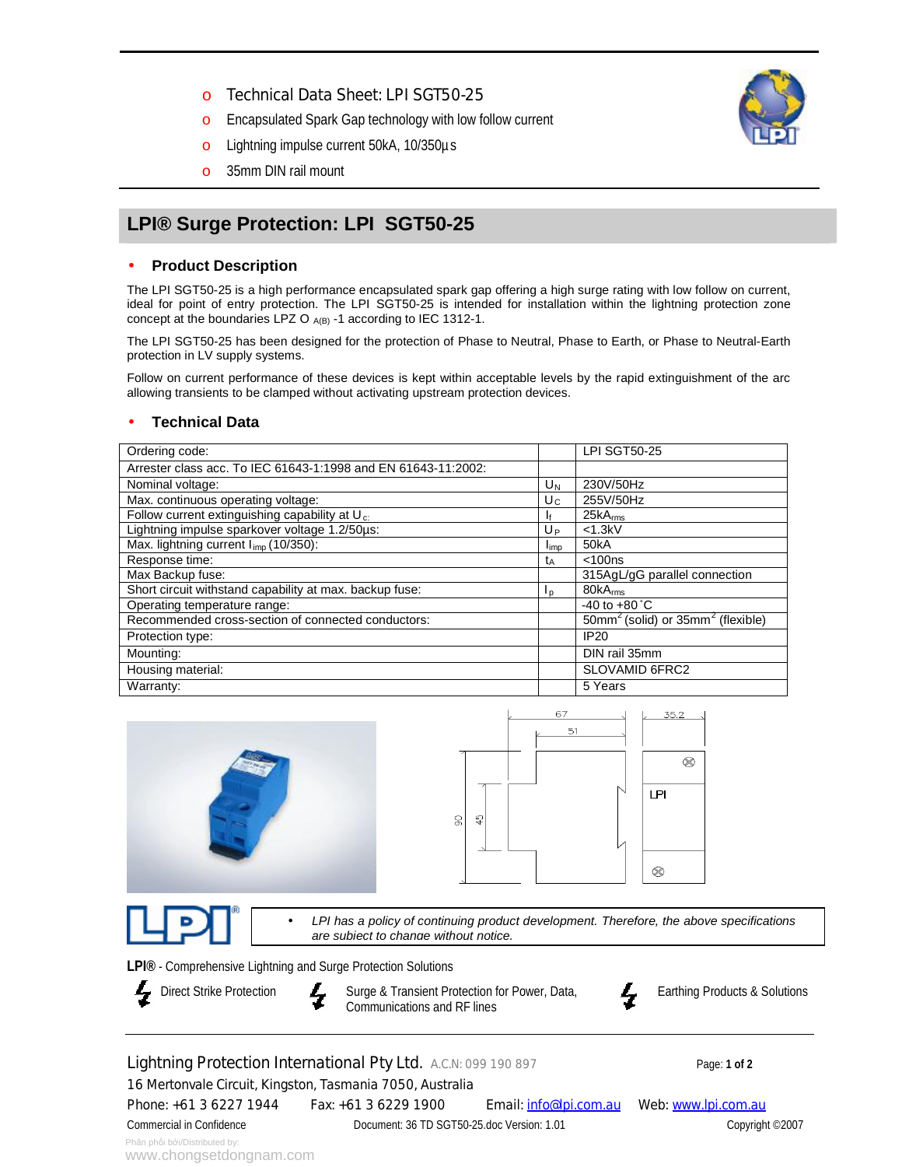- o Technical Data Sheet: LPI SGT50-25
- o Encapsulated Spark Gap technology with low follow current
- o Lightning impulse current 50kA, 10/350µs
- o 35mm DIN rail mount

# **LPI® Surge Protection: LPI SGT50-25**

## • **Product Description**

The LPI SGT50-25 is a high performance encapsulated spark gap offering a high surge rating with low follow on current, ideal for point of entry protection. The LPI SGT50-25 is intended for installation within the lightning protection zone concept at the boundaries LPZ O  $_{A(B)}$  -1 according to IEC 1312-1.

The LPI SGT50-25 has been designed for the protection of Phase to Neutral, Phase to Earth, or Phase to Neutral-Earth protection in LV supply systems.

Follow on current performance of these devices is kept within acceptable levels by the rapid extinguishment of the arc allowing transients to be clamped without activating upstream protection devices.

### • **Technical Data**

| Ordering code:                                                |                | <b>LPI SGT50-25</b>                     |
|---------------------------------------------------------------|----------------|-----------------------------------------|
| Arrester class acc. To IEC 61643-1:1998 and EN 61643-11:2002: |                |                                         |
| Nominal voltage:                                              | $U_N$          | 230V/50Hz                               |
| Max. continuous operating voltage:                            | $U_{C}$        | 255V/50Hz                               |
| Follow current extinguishing capability at $U_{c}$ .          | I۴             | 25kA <sub>rms</sub>                     |
| Lightning impulse sparkover voltage 1.2/50us:                 | Uр             | $<$ 1.3 $kV$                            |
| Max. lightning current I <sub>imp</sub> (10/350):             | limp           | 50kA                                    |
| Response time:                                                | tд             | $<$ 100 $ns$                            |
| Max Backup fuse:                                              |                | 315AgL/gG parallel connection           |
| Short circuit withstand capability at max. backup fuse:       | I <sub>D</sub> | 80kA <sub>rms</sub>                     |
| Operating temperature range:                                  |                | -40 to $+80^{\circ}$ C                  |
| Recommended cross-section of connected conductors:            |                | $50mm^2$ (solid) or $35mm^2$ (flexible) |
| Protection type:                                              |                | IP20                                    |
| Mounting:                                                     |                | DIN rail 35mm                           |
| Housing material:                                             |                | SLOVAMID 6FRC2                          |
| Warranty:                                                     |                | 5 Years                                 |





• *LPI has a policy of continuing product development. Therefore, the above specifications are subject to change without notice.*

**LPI®** - Comprehensive Lightning and Surge Protection Solutions

Direct Strike Protection **Surge & Transient Protection for Power, Data,** Communications and RF lines



Earthing Products & Solutions

Lightning Protection International Pty Ltd. A.C.N: 099 190 897 Page: 1 of 2

16 Mertonvale Circuit, Kingston, Tasmania 7050, Australia

Phone: +61 3 6227 1944 Fax: +61 3 6229 1900 Email:  $info@|piccom.au$  Web: [www.lpi.com.au](http://www.lpi.com.au)

Commercial in Confidence Document: 36 TD SGT50-25.doc Version: 1.01 Copyright ©2007

Phân phối bởi/Distributed by:

www.chongsetdongnam.com